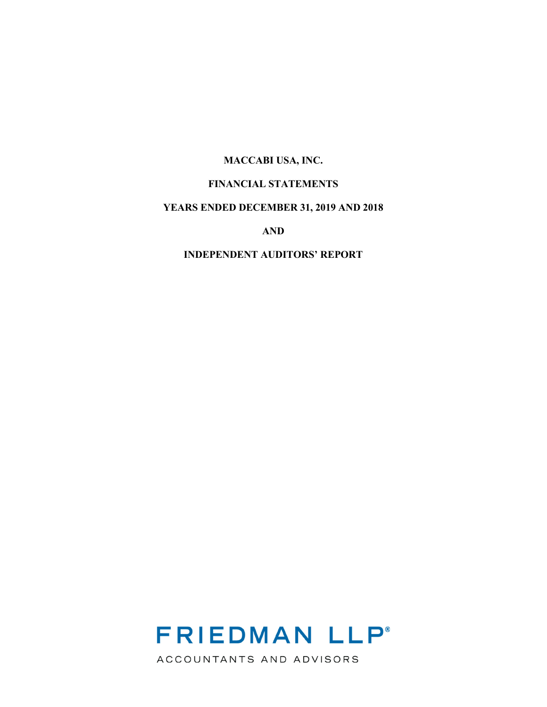# **FINANCIAL STATEMENTS**

# **YEARS ENDED DECEMBER 31, 2019 AND 2018**

**AND** 

# **INDEPENDENT AUDITORS' REPORT**



ACCOUNTANTS AND ADVISORS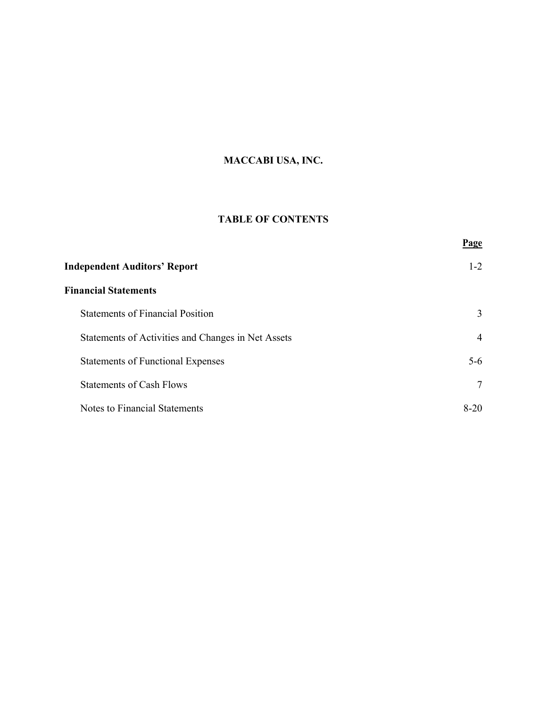# **TABLE OF CONTENTS**

|                                                    | Page           |
|----------------------------------------------------|----------------|
| <b>Independent Auditors' Report</b>                | $1 - 2$        |
| <b>Financial Statements</b>                        |                |
| <b>Statements of Financial Position</b>            | 3              |
| Statements of Activities and Changes in Net Assets | $\overline{4}$ |
| <b>Statements of Functional Expenses</b>           | $5-6$          |
| <b>Statements of Cash Flows</b>                    | $\tau$         |
| Notes to Financial Statements                      | $8-20$         |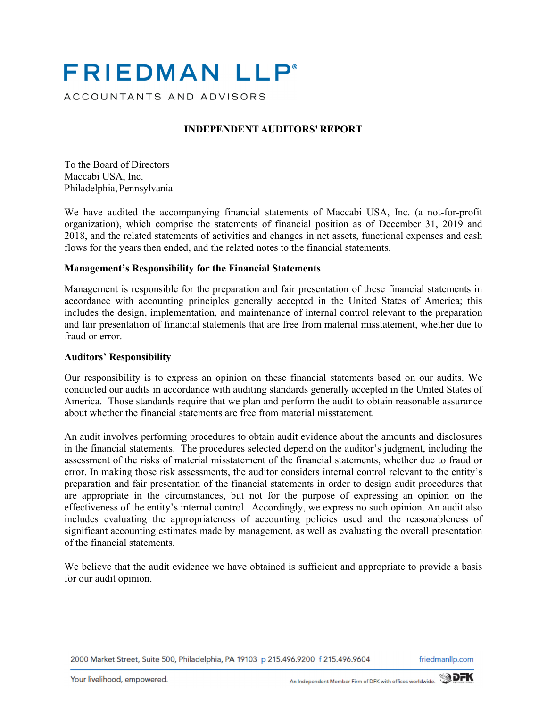# **FRIEDMAN LLP®**

ACCOUNTANTS AND ADVISORS

# **INDEPENDENT AUDITORS' REPORT**

To the Board of Directors Maccabi USA, Inc. Philadelphia, Pennsylvania

We have audited the accompanying financial statements of Maccabi USA, Inc. (a not-for-profit organization), which comprise the statements of financial position as of December 31, 2019 and 2018, and the related statements of activities and changes in net assets, functional expenses and cash flows for the years then ended, and the related notes to the financial statements.

## **Management's Responsibility for the Financial Statements**

Management is responsible for the preparation and fair presentation of these financial statements in accordance with accounting principles generally accepted in the United States of America; this includes the design, implementation, and maintenance of internal control relevant to the preparation and fair presentation of financial statements that are free from material misstatement, whether due to fraud or error.

## **Auditors' Responsibility**

Our responsibility is to express an opinion on these financial statements based on our audits. We conducted our audits in accordance with auditing standards generally accepted in the United States of America. Those standards require that we plan and perform the audit to obtain reasonable assurance about whether the financial statements are free from material misstatement.

An audit involves performing procedures to obtain audit evidence about the amounts and disclosures in the financial statements. The procedures selected depend on the auditor's judgment, including the assessment of the risks of material misstatement of the financial statements, whether due to fraud or error. In making those risk assessments, the auditor considers internal control relevant to the entity's preparation and fair presentation of the financial statements in order to design audit procedures that are appropriate in the circumstances, but not for the purpose of expressing an opinion on the effectiveness of the entity's internal control. Accordingly, we express no such opinion. An audit also includes evaluating the appropriateness of accounting policies used and the reasonableness of significant accounting estimates made by management, as well as evaluating the overall presentation of the financial statements.

We believe that the audit evidence we have obtained is sufficient and appropriate to provide a basis for our audit opinion.

2000 Market Street, Suite 500, Philadelphia, PA 19103 p 215.496.9200 f 215.496.9604

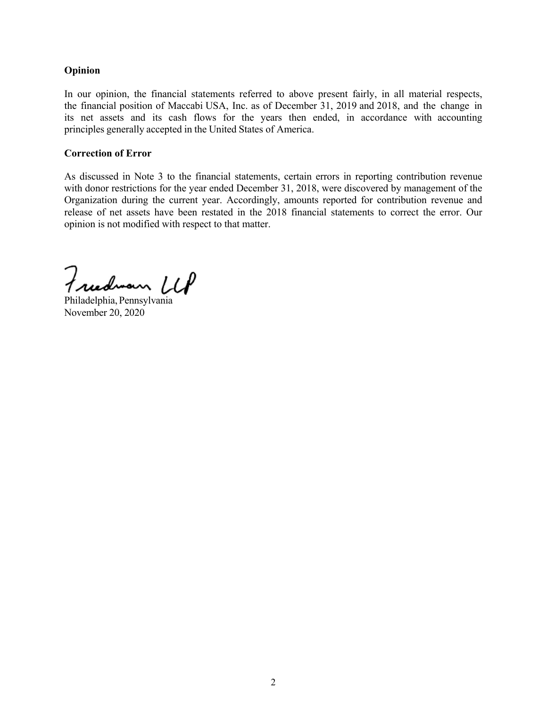# **Opinion**

In our opinion, the financial statements referred to above present fairly, in all material respects, the financial position of Maccabi USA, Inc. as of December 31, 2019 and 2018, and the change in its net assets and its cash flows for the years then ended, in accordance with accounting principles generally accepted in the United States of America.

# **Correction of Error**

As discussed in Note 3 to the financial statements, certain errors in reporting contribution revenue with donor restrictions for the year ended December 31, 2018, were discovered by management of the Organization during the current year. Accordingly, amounts reported for contribution revenue and release of net assets have been restated in the 2018 financial statements to correct the error. Our opinion is not modified with respect to that matter.

Freedman LLP

Philadelphia, Pennsylvania November 20, 2020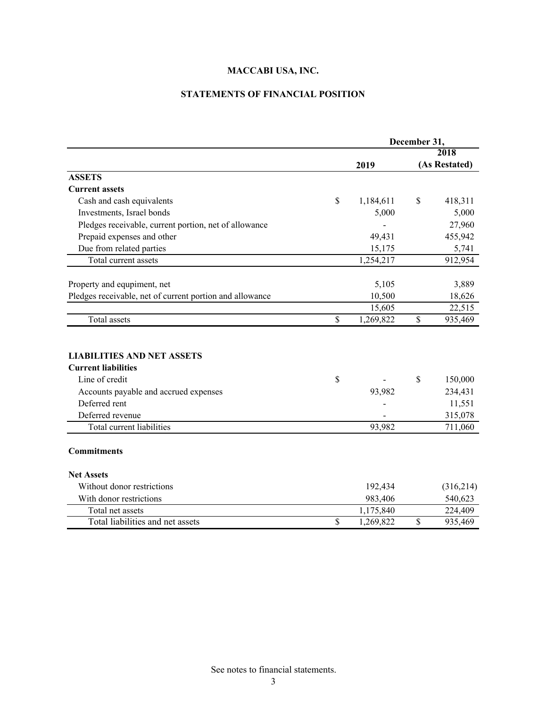# **STATEMENTS OF FINANCIAL POSITION**

|                                                          |              | December 31, |    |               |  |
|----------------------------------------------------------|--------------|--------------|----|---------------|--|
|                                                          |              |              |    | 2018          |  |
|                                                          |              | 2019         |    | (As Restated) |  |
| <b>ASSETS</b>                                            |              |              |    |               |  |
| <b>Current assets</b>                                    |              |              |    |               |  |
| Cash and cash equivalents                                | \$           | 1,184,611    | \$ | 418,311       |  |
| Investments, Israel bonds                                |              | 5,000        |    | 5,000         |  |
| Pledges receivable, current portion, net of allowance    |              |              |    | 27,960        |  |
| Prepaid expenses and other                               |              | 49,431       |    | 455,942       |  |
| Due from related parties                                 |              | 15,175       |    | 5,741         |  |
| Total current assets                                     |              | 1,254,217    |    | 912,954       |  |
| Property and equpiment, net                              |              | 5,105        |    | 3,889         |  |
| Pledges receivable, net of current portion and allowance |              | 10,500       |    | 18,626        |  |
|                                                          |              | 15,605       |    | 22,515        |  |
| Total assets                                             | \$           | 1,269,822    | \$ | 935,469       |  |
| <b>LIABILITIES AND NET ASSETS</b>                        |              |              |    |               |  |
| <b>Current liabilities</b>                               |              |              |    |               |  |
| Line of credit                                           | \$           |              | \$ | 150,000       |  |
| Accounts payable and accrued expenses                    |              | 93,982       |    | 234,431       |  |
| Deferred rent                                            |              |              |    | 11,551        |  |
| Deferred revenue                                         |              |              |    | 315,078       |  |
| Total current liabilities                                |              | 93,982       |    | 711,060       |  |
| <b>Commitments</b>                                       |              |              |    |               |  |
| <b>Net Assets</b>                                        |              |              |    |               |  |
| Without donor restrictions                               |              | 192,434      |    | (316,214)     |  |
| With donor restrictions                                  |              | 983,406      |    | 540,623       |  |
| Total net assets                                         |              | 1,175,840    |    | 224,409       |  |
| Total liabilities and net assets                         | $\mathbb{S}$ | 1,269,822    | \$ | 935,469       |  |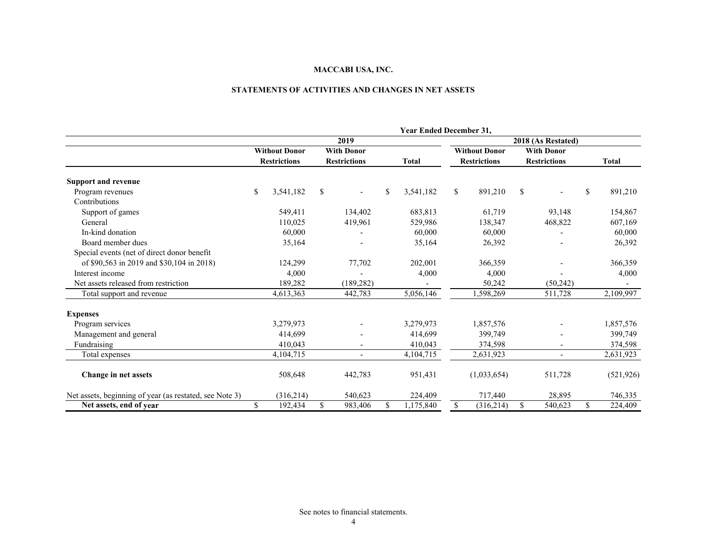#### **STATEMENTS OF ACTIVITIES AND CHANGES IN NET ASSETS**

|                                                         | <b>Year Ended December 31,</b> |                      |                     |                          |              |           |                     |                      |                     |                   |              |              |  |  |
|---------------------------------------------------------|--------------------------------|----------------------|---------------------|--------------------------|--------------|-----------|---------------------|----------------------|---------------------|-------------------|--------------|--------------|--|--|
|                                                         |                                |                      |                     | 2019                     |              |           | 2018 (As Restated)  |                      |                     |                   |              |              |  |  |
|                                                         |                                | <b>Without Donor</b> | <b>With Donor</b>   |                          |              |           |                     | <b>Without Donor</b> |                     | <b>With Donor</b> |              |              |  |  |
|                                                         | <b>Restrictions</b>            |                      | <b>Restrictions</b> |                          | <b>Total</b> |           | <b>Restrictions</b> |                      | <b>Restrictions</b> |                   |              | <b>Total</b> |  |  |
|                                                         |                                |                      |                     |                          |              |           |                     |                      |                     |                   |              |              |  |  |
| <b>Support and revenue</b>                              |                                |                      |                     |                          |              |           |                     |                      |                     |                   |              |              |  |  |
| Program revenues                                        | S.                             | 3,541,182            | $\mathbb{S}$        | $\overline{a}$           | S.           | 3,541,182 | $\mathbb{S}$        | 891,210              | \$                  |                   | $\mathbb{S}$ | 891,210      |  |  |
| Contributions                                           |                                |                      |                     |                          |              |           |                     |                      |                     |                   |              |              |  |  |
| Support of games                                        |                                | 549,411              |                     | 134,402                  |              | 683,813   |                     | 61,719               |                     | 93,148            |              | 154,867      |  |  |
| General                                                 |                                | 110,025              |                     | 419,961                  |              | 529,986   |                     | 138,347              |                     | 468,822           |              | 607,169      |  |  |
| In-kind donation                                        |                                | 60,000               |                     |                          |              | 60,000    |                     | 60,000               |                     |                   |              | 60,000       |  |  |
| Board member dues                                       |                                | 35,164               |                     | $\overline{a}$           |              | 35,164    |                     | 26,392               |                     |                   |              | 26,392       |  |  |
| Special events (net of direct donor benefit             |                                |                      |                     |                          |              |           |                     |                      |                     |                   |              |              |  |  |
| of \$90,563 in 2019 and \$30,104 in 2018)               |                                | 124,299              |                     | 77,702                   |              | 202,001   |                     | 366,359              |                     |                   |              | 366,359      |  |  |
| Interest income                                         |                                | 4,000                |                     |                          |              | 4,000     |                     | 4,000                |                     |                   |              | 4,000        |  |  |
| Net assets released from restriction                    |                                | 189,282              |                     | (189, 282)               |              |           |                     | 50,242               |                     | (50, 242)         |              |              |  |  |
| Total support and revenue                               |                                | 4,613,363            |                     | 442,783                  |              | 5,056,146 |                     | 1,598,269            |                     | 511,728           |              | 2,109,997    |  |  |
| <b>Expenses</b>                                         |                                |                      |                     |                          |              |           |                     |                      |                     |                   |              |              |  |  |
| Program services                                        |                                | 3,279,973            |                     |                          |              | 3,279,973 |                     | 1,857,576            |                     |                   |              | 1,857,576    |  |  |
| Management and general                                  |                                | 414,699              |                     |                          |              | 414,699   |                     | 399,749              |                     |                   |              | 399,749      |  |  |
| Fundraising                                             |                                | 410,043              |                     | $\overline{\phantom{a}}$ |              | 410,043   |                     | 374,598              |                     |                   |              | 374,598      |  |  |
| Total expenses                                          |                                | 4,104,715            |                     | $\overline{a}$           |              | 4,104,715 |                     | 2,631,923            |                     |                   |              | 2,631,923    |  |  |
| Change in net assets                                    |                                | 508,648              |                     | 442,783                  |              | 951,431   |                     | (1,033,654)          |                     | 511,728           |              | (521, 926)   |  |  |
| Net assets, beginning of year (as restated, see Note 3) |                                | (316,214)            |                     | 540,623                  |              | 224,409   |                     | 717,440              |                     | 28,895            |              | 746,335      |  |  |
| Net assets, end of year                                 | \$                             | 192,434              | \$                  | 983,406                  | \$           | 1,175,840 | $\mathbb{S}$        | (316, 214)           | \$                  | 540,623           | \$           | 224,409      |  |  |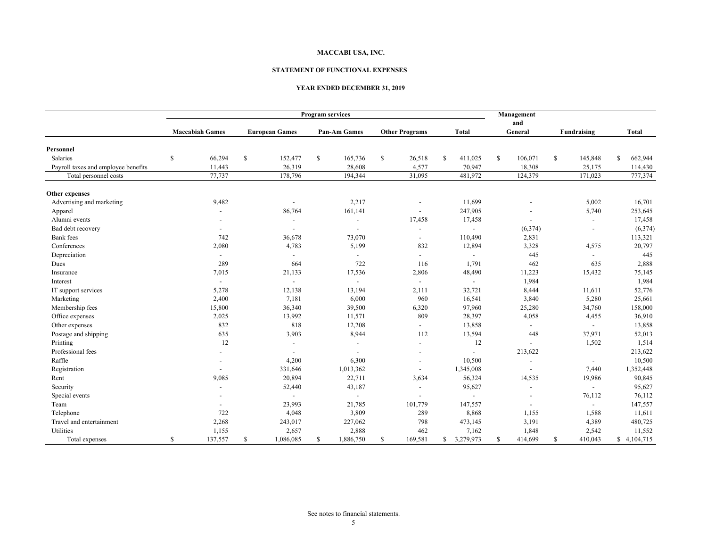#### **STATEMENT OF FUNCTIONAL EXPENSES**

#### **YEAR ENDED DECEMBER 31, 2019**

|                                     | <b>Program services</b> |                          |              |                          |              | Management               |              |                          |     |                          |              |                          |              |                          |    |              |
|-------------------------------------|-------------------------|--------------------------|--------------|--------------------------|--------------|--------------------------|--------------|--------------------------|-----|--------------------------|--------------|--------------------------|--------------|--------------------------|----|--------------|
|                                     |                         |                          |              |                          |              |                          |              |                          |     |                          |              | and                      |              |                          |    |              |
|                                     |                         | <b>Maccabiah Games</b>   |              | <b>European Games</b>    |              | <b>Pan-Am Games</b>      |              | <b>Other Programs</b>    |     | <b>Total</b>             |              | General                  |              | Fundraising              |    | <b>Total</b> |
| Personnel                           |                         |                          |              |                          |              |                          |              |                          |     |                          |              |                          |              |                          |    |              |
| Salaries                            | \$                      | 66,294                   | $\mathbb{S}$ | 152,477                  | \$           | 165,736                  | $\mathbb{S}$ | 26,518                   | S   | 411,025                  | $\mathbb{S}$ | 106,071                  | $\mathbb{S}$ | 145,848                  | S. | 662,944      |
| Payroll taxes and employee benefits |                         | 11,443                   |              | 26,319                   |              | 28,608                   |              | 4,577                    |     | 70,947                   |              | 18,308                   |              | 25,175                   |    | 114,430      |
| Total personnel costs               |                         | 77,737                   |              | 178,796                  |              | 194,344                  |              | 31,095                   |     | 481,972                  |              | 124,379                  |              | 171,023                  |    | 777,374      |
|                                     |                         |                          |              |                          |              |                          |              |                          |     |                          |              |                          |              |                          |    |              |
| Other expenses                      |                         |                          |              |                          |              |                          |              |                          |     |                          |              |                          |              |                          |    |              |
| Advertising and marketing           |                         | 9,482                    |              | $\blacksquare$           |              | 2,217                    |              |                          |     | 11,699                   |              |                          |              | 5,002                    |    | 16,701       |
| Apparel                             |                         |                          |              | 86,764                   |              | 161,141                  |              |                          |     | 247,905                  |              |                          |              | 5,740                    |    | 253,645      |
| Alumni events                       |                         |                          |              | $\overline{\phantom{a}}$ |              | $\overline{a}$           |              | 17,458                   |     | 17,458                   |              | $\overline{a}$           |              | $\overline{\phantom{a}}$ |    | 17,458       |
| Bad debt recovery                   |                         |                          |              | $\overline{\phantom{a}}$ |              | $\overline{a}$           |              | $\overline{\phantom{a}}$ |     | $\blacksquare$           |              | (6,374)                  |              | $\overline{a}$           |    | (6,374)      |
| <b>Bank</b> fees                    |                         | 742                      |              | 36,678                   |              | 73,070                   |              | $\overline{\phantom{a}}$ |     | 110,490                  |              | 2,831                    |              |                          |    | 113,321      |
| Conferences                         |                         | 2,080                    |              | 4,783                    |              | 5,199                    |              | 832                      |     | 12,894                   |              | 3,328                    |              | 4,575                    |    | 20,797       |
| Depreciation                        |                         | $\overline{\phantom{a}}$ |              | $\overline{\phantom{a}}$ |              | $\overline{\phantom{a}}$ |              | $\overline{\phantom{a}}$ |     | $\overline{\phantom{a}}$ |              | 445                      |              | $\overline{\phantom{a}}$ |    | 445          |
| Dues                                |                         | 289                      |              | 664                      |              | 722                      |              | 116                      |     | 1,791                    |              | 462                      |              | 635                      |    | 2,888        |
| Insurance                           |                         | 7,015                    |              | 21,133                   |              | 17,536                   |              | 2,806                    |     | 48,490                   |              | 11,223                   |              | 15,432                   |    | 75,145       |
| Interest                            |                         | $\mathbf{r}$             |              | $\overline{\phantom{a}}$ |              | $\overline{\phantom{a}}$ |              | $\overline{\phantom{a}}$ |     | $\overline{a}$           |              | 1,984                    |              |                          |    | 1,984        |
| IT support services                 |                         | 5,278                    |              | 12,138                   |              | 13,194                   |              | 2,111                    |     | 32,721                   |              | 8,444                    |              | 11,611                   |    | 52,776       |
| Marketing                           |                         | 2,400                    |              | 7,181                    |              | 6,000                    |              | 960                      |     | 16,541                   |              | 3,840                    |              | 5,280                    |    | 25,661       |
| Membership fees                     |                         | 15,800                   |              | 36,340                   |              | 39,500                   |              | 6,320                    |     | 97,960                   |              | 25,280                   |              | 34,760                   |    | 158,000      |
| Office expenses                     |                         | 2,025                    |              | 13,992                   |              | 11,571                   |              | 809                      |     | 28,397                   |              | 4,058                    |              | 4,455                    |    | 36,910       |
| Other expenses                      |                         | 832                      |              | 818                      |              | 12,208                   |              | $\sim$                   |     | 13,858                   |              | $\blacksquare$           |              | $\blacksquare$           |    | 13,858       |
| Postage and shipping                |                         | 635                      |              | 3,903                    |              | 8,944                    |              | 112                      |     | 13,594                   |              | 448                      |              | 37,971                   |    | 52,013       |
| Printing                            |                         | 12                       |              | $\overline{\phantom{a}}$ |              | $\overline{\phantom{a}}$ |              | $\overline{a}$           |     | 12                       |              | $\overline{a}$           |              | 1,502                    |    | 1,514        |
| Professional fees                   |                         |                          |              | $\overline{\phantom{a}}$ |              | $\overline{\phantom{a}}$ |              |                          |     | $\overline{\phantom{0}}$ |              | 213,622                  |              |                          |    | 213,622      |
| Raffle                              |                         |                          |              | 4,200                    |              | 6,300                    |              |                          |     | 10,500                   |              |                          |              | $\overline{\phantom{a}}$ |    | 10,500       |
| Registration                        |                         |                          |              | 331,646                  |              | 1,013,362                |              |                          |     | 1,345,008                |              | $\overline{a}$           |              | 7,440                    |    | 1,352,448    |
| Rent                                |                         | 9,085                    |              | 20,894                   |              | 22,711                   |              | 3,634                    |     | 56,324                   |              | 14,535                   |              | 19,986                   |    | 90,845       |
| Security                            |                         |                          |              | 52,440                   |              | 43,187                   |              |                          |     | 95,627                   |              | $\overline{a}$           |              | $\overline{\phantom{a}}$ |    | 95,627       |
| Special events                      |                         |                          |              | $\overline{\phantom{a}}$ |              | $\overline{a}$           |              |                          |     | $\overline{a}$           |              | $\overline{\phantom{a}}$ |              | 76,112                   |    | 76,112       |
| Team                                |                         |                          |              | 23,993                   |              | 21,785                   |              | 101,779                  |     | 147,557                  |              | $\overline{a}$           |              | $\sim$                   |    | 147,557      |
| Telephone                           |                         | 722                      |              | 4,048                    |              | 3,809                    |              | 289                      |     | 8,868                    |              | 1,155                    |              | 1,588                    |    | 11,611       |
| Travel and entertainment            |                         | 2,268                    |              | 243,017                  |              | 227,062                  |              | 798                      |     | 473,145                  |              | 3,191                    |              | 4,389                    |    | 480,725      |
| Utilities                           |                         | 1,155                    |              | 2,657                    |              | 2,888                    |              | 462                      |     | 7,162                    |              | 1,848                    |              | 2,542                    |    | 11,552       |
| Total expenses                      | $\mathbb{S}$            | 137,557                  | $\mathbb{S}$ | 1,086,085                | $\mathbb{S}$ | 1,886,750                | $\mathbf{s}$ | 169,581                  | \$. | 3,279,973                | $\mathbf S$  | 414,699                  | $\mathbb{S}$ | 410,043                  |    | \$4,104,715  |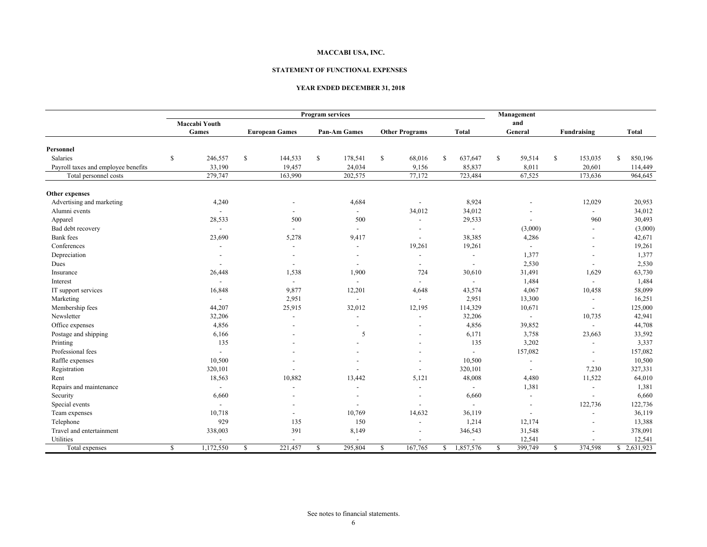#### **STATEMENT OF FUNCTIONAL EXPENSES**

#### **YEAR ENDED DECEMBER 31, 2018**

|                                                              | <b>Program services</b> |                          |                       |                          | Management   |                          |               |                          |    |                          |               |                          |               |                          |                    |
|--------------------------------------------------------------|-------------------------|--------------------------|-----------------------|--------------------------|--------------|--------------------------|---------------|--------------------------|----|--------------------------|---------------|--------------------------|---------------|--------------------------|--------------------|
|                                                              | Maccabi Youth<br>Games  |                          | <b>European Games</b> |                          |              | <b>Pan-Am Games</b>      |               | <b>Other Programs</b>    |    | <b>Total</b>             |               | and<br>General           |               | Fundraising              | Total              |
|                                                              |                         |                          |                       |                          |              |                          |               |                          |    |                          |               |                          |               |                          |                    |
| Personnel<br>Salaries                                        |                         |                          | $\mathbb{S}$          |                          | \$           |                          | <sup>\$</sup> |                          | S  |                          | $\mathbb{S}$  |                          | $\mathbb{S}$  |                          | \$                 |
|                                                              | \$                      | 246,557<br>33,190        |                       | 144,533<br>19,457        |              | 178,541<br>24,034        |               | 68,016<br>9,156          |    | 637,647<br>85,837        |               | 59,514<br>8,011          |               | 153,035<br>20,601        | 850,196            |
| Payroll taxes and employee benefits<br>Total personnel costs |                         | 279,747                  |                       | 163,990                  |              | 202,575                  |               | 77,172                   |    | 723,484                  |               | 67,525                   |               | 173,636                  | 114,449<br>964,645 |
|                                                              |                         |                          |                       |                          |              |                          |               |                          |    |                          |               |                          |               |                          |                    |
| Other expenses                                               |                         |                          |                       |                          |              |                          |               |                          |    |                          |               |                          |               |                          |                    |
| Advertising and marketing                                    |                         | 4,240                    |                       | $\overline{\phantom{a}}$ |              | 4,684                    |               | $\overline{\phantom{a}}$ |    | 8,924                    |               |                          |               | 12,029                   | 20,953             |
| Alumni events                                                |                         | $\overline{\phantom{a}}$ |                       | $\overline{\phantom{a}}$ |              | $\blacksquare$           |               | 34,012                   |    | 34,012                   |               |                          |               | $\overline{\phantom{a}}$ | 34,012             |
| Apparel                                                      |                         | 28,533                   |                       | 500                      |              | 500                      |               | $\overline{\phantom{a}}$ |    | 29,533                   |               | $\overline{\phantom{0}}$ |               | 960                      | 30,493             |
| Bad debt recovery                                            |                         | $\overline{\phantom{a}}$ |                       | $\overline{\phantom{0}}$ |              | $\overline{\phantom{a}}$ |               |                          |    | $\blacksquare$           |               | (3,000)                  |               | $\blacksquare$           | (3,000)            |
| <b>Bank</b> fees                                             |                         | 23,690                   |                       | 5,278                    |              | 9,417                    |               |                          |    | 38,385                   |               | 4,286                    |               |                          | 42,671             |
| Conferences                                                  |                         |                          |                       | $\overline{a}$           |              | $\overline{a}$           |               | 19,261                   |    | 19,261                   |               | $\overline{\phantom{a}}$ |               |                          | 19,261             |
| Depreciation                                                 |                         |                          |                       | $\overline{\phantom{a}}$ |              | $\overline{\phantom{a}}$ |               | $\overline{\phantom{a}}$ |    | $\overline{\phantom{a}}$ |               | 1,377                    |               |                          | 1,377              |
| Dues                                                         |                         |                          |                       | $\overline{\phantom{a}}$ |              |                          |               |                          |    | $\overline{\phantom{a}}$ |               | 2,530                    |               | $\overline{\phantom{a}}$ | 2,530              |
| Insurance                                                    |                         | 26,448                   |                       | 1,538                    |              | 1,900                    |               | 724                      |    | 30,610                   |               | 31,491                   |               | 1,629                    | 63,730             |
| Interest                                                     |                         | $\overline{\phantom{a}}$ |                       | $\overline{a}$           |              | $\overline{a}$           |               | $\sim$                   |    | $\overline{a}$           |               | 1,484                    |               | $\overline{a}$           | 1,484              |
| IT support services                                          |                         | 16,848                   |                       | 9,877                    |              | 12,201                   |               | 4,648                    |    | 43,574                   |               | 4,067                    |               | 10,458                   | 58,099             |
| Marketing                                                    |                         |                          |                       | 2,951                    |              | $\overline{\phantom{a}}$ |               |                          |    | 2,951                    |               | 13,300                   |               | $\blacksquare$           | 16,251             |
| Membership fees                                              |                         | 44,207                   |                       | 25,915                   |              | 32,012                   |               | 12,195                   |    | 114,329                  |               | 10,671                   |               | $\blacksquare$           | 125,000            |
| Newsletter                                                   |                         | 32,206                   |                       | $\overline{\phantom{a}}$ |              | $\overline{a}$           |               |                          |    | 32,206                   |               | $\overline{\phantom{a}}$ |               | 10,735                   | 42,941             |
| Office expenses                                              |                         | 4,856                    |                       |                          |              |                          |               |                          |    | 4,856                    |               | 39,852                   |               | $\mathbf{r}$             | 44,708             |
| Postage and shipping                                         |                         | 6,166                    |                       |                          |              | 5                        |               |                          |    | 6,171                    |               | 3,758                    |               | 23,663                   | 33,592             |
| Printing                                                     |                         | 135                      |                       |                          |              |                          |               |                          |    | 135                      |               | 3,202                    |               |                          | 3,337              |
| Professional fees                                            |                         | $\overline{a}$           |                       |                          |              |                          |               |                          |    | $\overline{a}$           |               | 157,082                  |               | $\overline{\phantom{a}}$ | 157,082            |
| Raffle expenses                                              |                         | 10,500                   |                       |                          |              |                          |               |                          |    | 10,500                   |               | $\overline{a}$           |               | $\overline{a}$           | 10,500             |
| Registration                                                 |                         | 320,101                  |                       |                          |              |                          |               | $\overline{a}$           |    | 320,101                  |               | $\overline{a}$           |               | 7,230                    | 327,331            |
| Rent                                                         |                         | 18,563                   |                       | 10,882                   |              | 13,442                   |               | 5,121                    |    | 48,008                   |               | 4,480                    |               | 11,522                   | 64,010             |
| Repairs and maintenance                                      |                         | $\overline{\phantom{a}}$ |                       | $\overline{\phantom{a}}$ |              | $\overline{\phantom{a}}$ |               | $\overline{\phantom{a}}$ |    | $\overline{\phantom{a}}$ |               | 1,381                    |               | $\blacksquare$           | 1,381              |
| Security                                                     |                         | 6,660                    |                       | $\overline{\phantom{a}}$ |              |                          |               |                          |    | 6,660                    |               | $\overline{a}$           |               | $\overline{a}$           | 6,660              |
| Special events                                               |                         | $\overline{a}$           |                       | $\overline{a}$           |              |                          |               |                          |    | $\overline{a}$           |               | $\overline{\phantom{a}}$ |               | 122,736                  | 122,736            |
| Team expenses                                                |                         | 10,718                   |                       |                          |              | 10,769                   |               | 14,632                   |    | 36,119                   |               | $\overline{a}$           |               |                          | 36,119             |
| Telephone                                                    |                         | 929                      |                       | 135                      |              | 150                      |               |                          |    | 1,214                    |               | 12,174                   |               |                          | 13,388             |
| Travel and entertainment                                     |                         | 338,003                  |                       | 391                      |              | 8,149                    |               |                          |    | 346,543                  |               | 31,548                   |               |                          | 378,091            |
| Utilities                                                    |                         | $\overline{\phantom{a}}$ |                       | $\overline{\phantom{a}}$ |              | $\overline{\phantom{a}}$ |               | $\overline{\phantom{a}}$ |    | $\overline{a}$           |               | 12,541                   |               |                          | 12,541             |
| Total expenses                                               | $\mathbf S$             | 1,172,550                | S.                    | 221,457                  | $\mathbb{S}$ | 295,804                  | <sup>S</sup>  | 167,765                  | \$ | 1,857,576                | <sup>\$</sup> | 399,749                  | <sup>\$</sup> | 374,598                  | \$2,631,923        |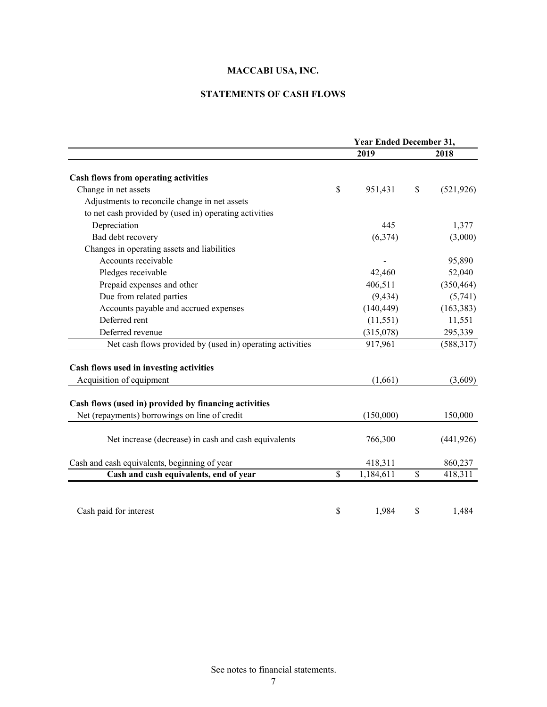# **STATEMENTS OF CASH FLOWS**

|                                                           |              | <b>Year Ended December 31,</b> |                  |  |  |
|-----------------------------------------------------------|--------------|--------------------------------|------------------|--|--|
|                                                           |              | 2019                           | 2018             |  |  |
| Cash flows from operating activities                      |              |                                |                  |  |  |
| Change in net assets                                      | \$           | 951,431                        | \$<br>(521, 926) |  |  |
| Adjustments to reconcile change in net assets             |              |                                |                  |  |  |
| to net cash provided by (used in) operating activities    |              |                                |                  |  |  |
| Depreciation                                              |              | 445                            | 1,377            |  |  |
| Bad debt recovery                                         |              | (6,374)                        | (3,000)          |  |  |
| Changes in operating assets and liabilities               |              |                                |                  |  |  |
| Accounts receivable                                       |              |                                | 95,890           |  |  |
| Pledges receivable                                        |              | 42,460                         | 52,040           |  |  |
| Prepaid expenses and other                                |              | 406,511                        | (350, 464)       |  |  |
| Due from related parties                                  |              | (9, 434)                       | (5,741)          |  |  |
| Accounts payable and accrued expenses                     |              | (140, 449)                     | (163, 383)       |  |  |
| Deferred rent                                             |              | (11, 551)                      | 11,551           |  |  |
| Deferred revenue                                          |              | (315,078)                      | 295,339          |  |  |
| Net cash flows provided by (used in) operating activities |              | 917,961                        | (588, 317)       |  |  |
| Cash flows used in investing activities                   |              |                                |                  |  |  |
| Acquisition of equipment                                  |              | (1,661)                        | (3,609)          |  |  |
| Cash flows (used in) provided by financing activities     |              |                                |                  |  |  |
| Net (repayments) borrowings on line of credit             |              | (150,000)                      | 150,000          |  |  |
| Net increase (decrease) in cash and cash equivalents      |              | 766,300                        | (441, 926)       |  |  |
| Cash and cash equivalents, beginning of year              |              | 418,311                        | 860,237          |  |  |
| Cash and cash equivalents, end of year                    | $\mathbb{S}$ | 1,184,611                      | \$<br>418,311    |  |  |
|                                                           |              |                                |                  |  |  |
| Cash paid for interest                                    | \$           | 1,984                          | \$<br>1,484      |  |  |

See notes to financial statements.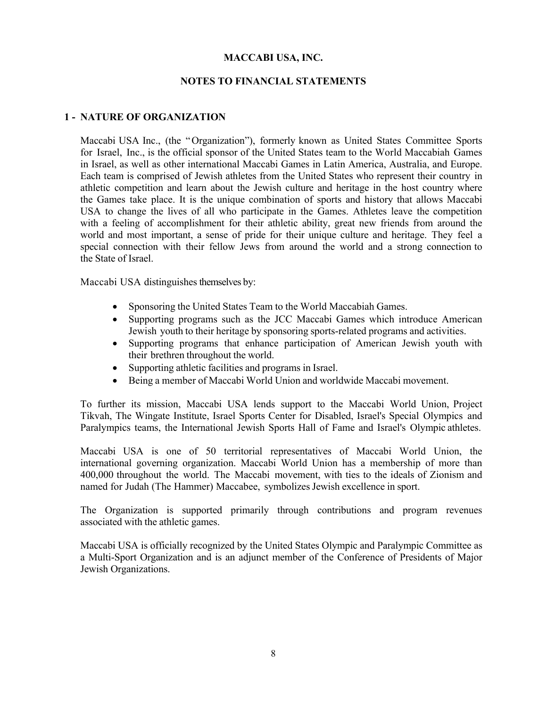# **NOTES TO FINANCIAL STATEMENTS**

# **1 - NATURE OF ORGANIZATION**

Maccabi USA Inc., (the " Organization"), formerly known as United States Committee Sports for Israel, Inc., is the official sponsor of the United States team to the World Maccabiah Games in Israel, as well as other international Maccabi Games in Latin America, Australia, and Europe. Each team is comprised of Jewish athletes from the United States who represent their country in athletic competition and learn about the Jewish culture and heritage in the host country where the Games take place. It is the unique combination of sports and history that allows Maccabi USA to change the lives of all who participate in the Games. Athletes leave the competition with a feeling of accomplishment for their athletic ability, great new friends from around the world and most important, a sense of pride for their unique culture and heritage. They feel a special connection with their fellow Jews from around the world and a strong connection to the State of Israel.

Maccabi USA distinguishes themselves by:

- Sponsoring the United States Team to the World Maccabiah Games.
- Supporting programs such as the JCC Maccabi Games which introduce American Jewish youth to their heritage by sponsoring sports-related programs and activities.
- Supporting programs that enhance participation of American Jewish youth with their brethren throughout the world.
- Supporting athletic facilities and programs in Israel.
- Being a member of Maccabi World Union and worldwide Maccabi movement.

To further its mission, Maccabi USA lends support to the Maccabi World Union, Project Tikvah, The Wingate Institute, Israel Sports Center for Disabled, Israel's Special Olympics and Paralympics teams, the International Jewish Sports Hall of Fame and Israel's Olympic athletes.

Maccabi USA is one of 50 territorial representatives of Maccabi World Union, the international governing organization. Maccabi World Union has a membership of more than 400,000 throughout the world. The Maccabi movement, with ties to the ideals of Zionism and named for Judah (The Hammer) Maccabee, symbolizes Jewish excellence in sport.

The Organization is supported primarily through contributions and program revenues associated with the athletic games.

Maccabi USA is officially recognized by the United States Olympic and Paralympic Committee as a Multi-Sport Organization and is an adjunct member of the Conference of Presidents of Major Jewish Organizations.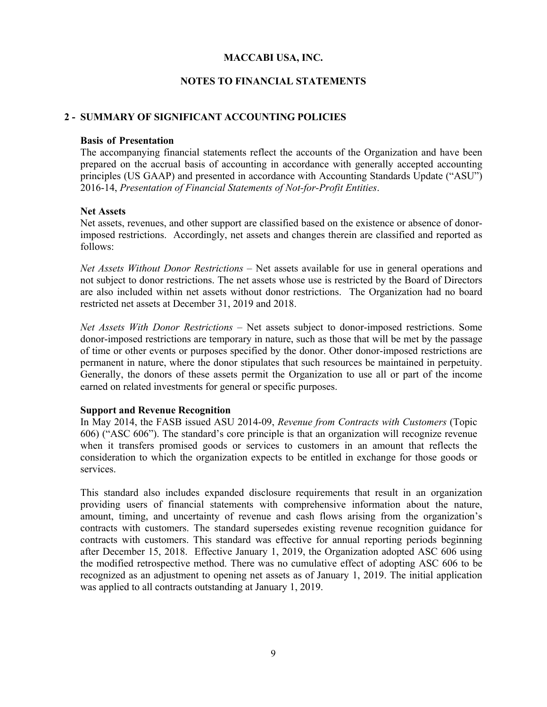# **NOTES TO FINANCIAL STATEMENTS**

#### **2 - SUMMARY OF SIGNIFICANT ACCOUNTING POLICIES**

#### **Basis of Presentation**

The accompanying financial statements reflect the accounts of the Organization and have been prepared on the accrual basis of accounting in accordance with generally accepted accounting principles (US GAAP) and presented in accordance with Accounting Standards Update ("ASU") 2016-14, *Presentation of Financial Statements of Not-for-Profit Entities*.

#### **Net Assets**

Net assets, revenues, and other support are classified based on the existence or absence of donorimposed restrictions. Accordingly, net assets and changes therein are classified and reported as follows:

*Net Assets Without Donor Restrictions* – Net assets available for use in general operations and not subject to donor restrictions. The net assets whose use is restricted by the Board of Directors are also included within net assets without donor restrictions. The Organization had no board restricted net assets at December 31, 2019 and 2018.

*Net Assets With Donor Restrictions* – Net assets subject to donor-imposed restrictions. Some donor-imposed restrictions are temporary in nature, such as those that will be met by the passage of time or other events or purposes specified by the donor. Other donor-imposed restrictions are permanent in nature, where the donor stipulates that such resources be maintained in perpetuity. Generally, the donors of these assets permit the Organization to use all or part of the income earned on related investments for general or specific purposes.

#### **Support and Revenue Recognition**

In May 2014, the FASB issued ASU 2014-09, *Revenue from Contracts with Customers* (Topic 606) ("ASC 606"). The standard's core principle is that an organization will recognize revenue when it transfers promised goods or services to customers in an amount that reflects the consideration to which the organization expects to be entitled in exchange for those goods or services.

This standard also includes expanded disclosure requirements that result in an organization providing users of financial statements with comprehensive information about the nature, amount, timing, and uncertainty of revenue and cash flows arising from the organization's contracts with customers. The standard supersedes existing revenue recognition guidance for contracts with customers. This standard was effective for annual reporting periods beginning after December 15, 2018. Effective January 1, 2019, the Organization adopted ASC 606 using the modified retrospective method. There was no cumulative effect of adopting ASC 606 to be recognized as an adjustment to opening net assets as of January 1, 2019. The initial application was applied to all contracts outstanding at January 1, 2019.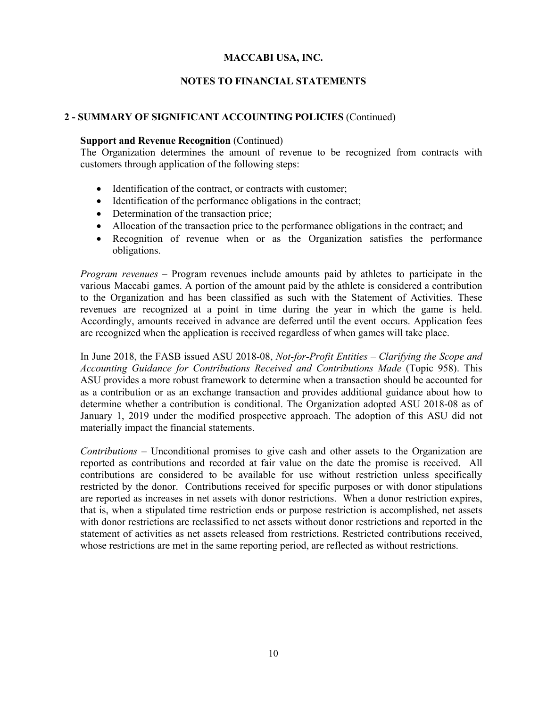# **NOTES TO FINANCIAL STATEMENTS**

## **2 - SUMMARY OF SIGNIFICANT ACCOUNTING POLICIES** (Continued)

#### **Support and Revenue Recognition** (Continued)

The Organization determines the amount of revenue to be recognized from contracts with customers through application of the following steps:

- Identification of the contract, or contracts with customer;
- Identification of the performance obligations in the contract;
- Determination of the transaction price;
- Allocation of the transaction price to the performance obligations in the contract; and
- Recognition of revenue when or as the Organization satisfies the performance obligations.

*Program revenues –* Program revenues include amounts paid by athletes to participate in the various Maccabi games. A portion of the amount paid by the athlete is considered a contribution to the Organization and has been classified as such with the Statement of Activities. These revenues are recognized at a point in time during the year in which the game is held. Accordingly, amounts received in advance are deferred until the event occurs. Application fees are recognized when the application is received regardless of when games will take place.

In June 2018, the FASB issued ASU 2018-08, *Not-for-Profit Entities – Clarifying the Scope and Accounting Guidance for Contributions Received and Contributions Made* (Topic 958). This ASU provides a more robust framework to determine when a transaction should be accounted for as a contribution or as an exchange transaction and provides additional guidance about how to determine whether a contribution is conditional. The Organization adopted ASU 2018-08 as of January 1, 2019 under the modified prospective approach. The adoption of this ASU did not materially impact the financial statements.

*Contributions* – Unconditional promises to give cash and other assets to the Organization are reported as contributions and recorded at fair value on the date the promise is received. All contributions are considered to be available for use without restriction unless specifically restricted by the donor. Contributions received for specific purposes or with donor stipulations are reported as increases in net assets with donor restrictions. When a donor restriction expires, that is, when a stipulated time restriction ends or purpose restriction is accomplished, net assets with donor restrictions are reclassified to net assets without donor restrictions and reported in the statement of activities as net assets released from restrictions. Restricted contributions received, whose restrictions are met in the same reporting period, are reflected as without restrictions.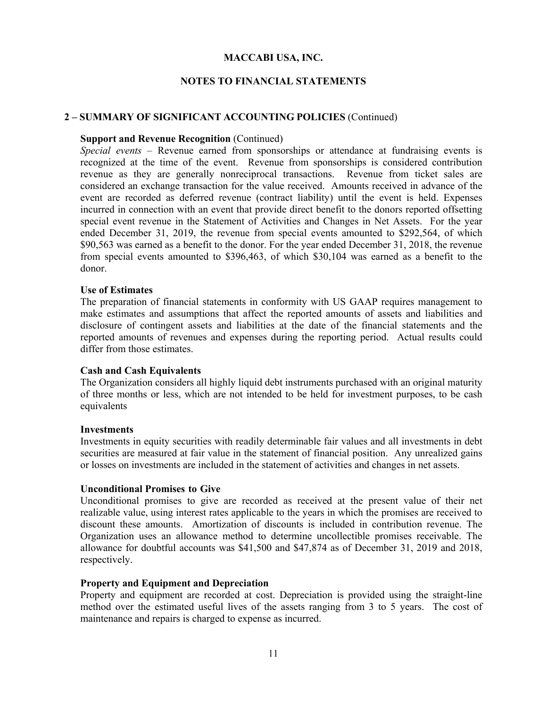# **NOTES TO FINANCIAL STATEMENTS**

## **2 – SUMMARY OF SIGNIFICANT ACCOUNTING POLICIES** (Continued)

#### **Support and Revenue Recognition** (Continued)

*Special events* – Revenue earned from sponsorships or attendance at fundraising events is recognized at the time of the event. Revenue from sponsorships is considered contribution revenue as they are generally nonreciprocal transactions. Revenue from ticket sales are considered an exchange transaction for the value received. Amounts received in advance of the event are recorded as deferred revenue (contract liability) until the event is held. Expenses incurred in connection with an event that provide direct benefit to the donors reported offsetting special event revenue in the Statement of Activities and Changes in Net Assets. For the year ended December 31, 2019, the revenue from special events amounted to \$292,564, of which \$90,563 was earned as a benefit to the donor. For the year ended December 31, 2018, the revenue from special events amounted to \$396,463, of which \$30,104 was earned as a benefit to the donor.

#### **Use of Estimates**

The preparation of financial statements in conformity with US GAAP requires management to make estimates and assumptions that affect the reported amounts of assets and liabilities and disclosure of contingent assets and liabilities at the date of the financial statements and the reported amounts of revenues and expenses during the reporting period. Actual results could differ from those estimates.

#### **Cash and Cash Equivalents**

The Organization considers all highly liquid debt instruments purchased with an original maturity of three months or less, which are not intended to be held for investment purposes, to be cash equivalents

#### **Investments**

Investments in equity securities with readily determinable fair values and all investments in debt securities are measured at fair value in the statement of financial position. Any unrealized gains or losses on investments are included in the statement of activities and changes in net assets.

## **Unconditional Promises to Give**

Unconditional promises to give are recorded as received at the present value of their net realizable value, using interest rates applicable to the years in which the promises are received to discount these amounts. Amortization of discounts is included in contribution revenue. The Organization uses an allowance method to determine uncollectible promises receivable. The allowance for doubtful accounts was \$41,500 and \$47,874 as of December 31, 2019 and 2018, respectively.

## **Property and Equipment and Depreciation**

Property and equipment are recorded at cost. Depreciation is provided using the straight-line method over the estimated useful lives of the assets ranging from 3 to 5 years. The cost of maintenance and repairs is charged to expense as incurred.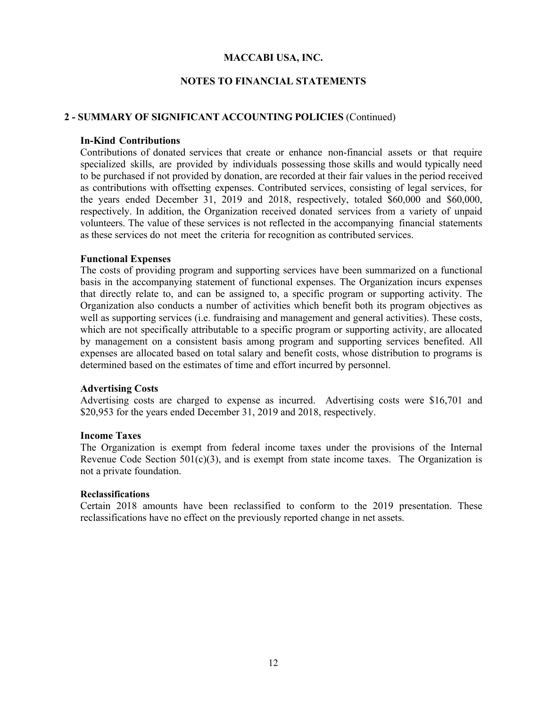# **NOTES TO FINANCIAL STATEMENTS**

#### **2 - SUMMARY OF SIGNIFICANT ACCOUNTING POLICIES** (Continued)

#### **In-Kind Contributions**

Contributions of donated services that create or enhance non-financial assets or that require specialized skills, are provided by individuals possessing those skills and would typically need to be purchased if not provided by donation, are recorded at their fair values in the period received as contributions with offsetting expenses. Contributed services, consisting of legal services, for the years ended December 31, 2019 and 2018, respectively, totaled \$60,000 and \$60,000, respectively. In addition, the Organization received donated services from a variety of unpaid volunteers. The value of these services is not reflected in the accompanying financial statements as these services do not meet the criteria for recognition as contributed services.

#### **Functional Expenses**

The costs of providing program and supporting services have been summarized on a functional basis in the accompanying statement of functional expenses. The Organization incurs expenses that directly relate to, and can be assigned to, a specific program or supporting activity. The Organization also conducts a number of activities which benefit both its program objectives as well as supporting services (i.e. fundraising and management and general activities). These costs, which are not specifically attributable to a specific program or supporting activity, are allocated by management on a consistent basis among program and supporting services benefited. All expenses are allocated based on total salary and benefit costs, whose distribution to programs is determined based on the estimates of time and effort incurred by personnel.

#### **Advertising Costs**

Advertising costs are charged to expense as incurred. Advertising costs were \$16,701 and \$20,953 for the years ended December 31, 2019 and 2018, respectively.

#### **Income Taxes**

The Organization is exempt from federal income taxes under the provisions of the Internal Revenue Code Section  $501(c)(3)$ , and is exempt from state income taxes. The Organization is not a private foundation.

#### **Reclassifications**

Certain 2018 amounts have been reclassified to conform to the 2019 presentation. These reclassifications have no effect on the previously reported change in net assets.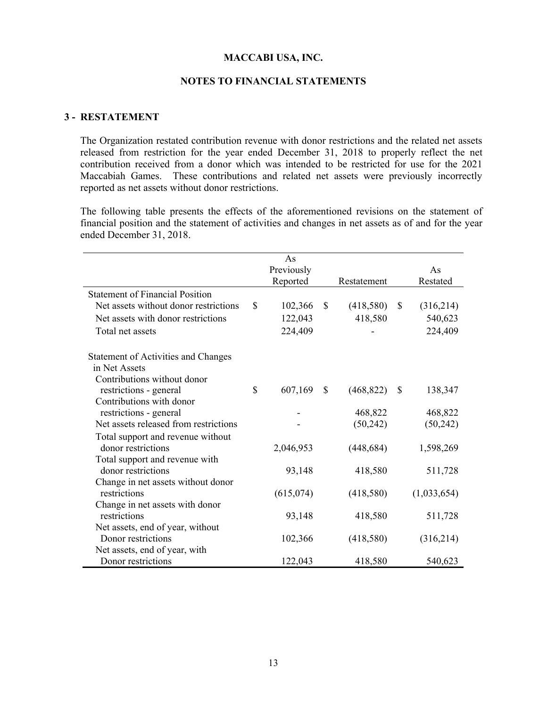# **NOTES TO FINANCIAL STATEMENTS**

# **3 - RESTATEMENT**

The Organization restated contribution revenue with donor restrictions and the related net assets released from restriction for the year ended December 31, 2018 to properly reflect the net contribution received from a donor which was intended to be restricted for use for the 2021 Maccabiah Games. These contributions and related net assets were previously incorrectly reported as net assets without donor restrictions.

The following table presents the effects of the aforementioned revisions on the statement of financial position and the statement of activities and changes in net assets as of and for the year ended December 31, 2018.

|                                            |              | As         |               |             |               |             |
|--------------------------------------------|--------------|------------|---------------|-------------|---------------|-------------|
|                                            |              | Previously |               |             |               | As          |
|                                            |              | Reported   |               | Restatement |               | Restated    |
| <b>Statement of Financial Position</b>     |              |            |               |             |               |             |
| Net assets without donor restrictions      | $\mathbb{S}$ | 102,366    | <sup>\$</sup> | (418,580)   | \$            | (316,214)   |
| Net assets with donor restrictions         |              | 122,043    |               | 418,580     |               | 540,623     |
| Total net assets                           |              | 224,409    |               |             |               | 224,409     |
| <b>Statement of Activities and Changes</b> |              |            |               |             |               |             |
| in Net Assets                              |              |            |               |             |               |             |
| Contributions without donor                |              |            |               |             |               |             |
| restrictions - general                     | $\mathbb{S}$ | 607,169    | <sup>\$</sup> | (468, 822)  | $\mathcal{S}$ | 138,347     |
| Contributions with donor                   |              |            |               |             |               |             |
| restrictions - general                     |              |            |               | 468,822     |               | 468,822     |
| Net assets released from restrictions      |              |            |               | (50, 242)   |               | (50, 242)   |
| Total support and revenue without          |              |            |               |             |               |             |
| donor restrictions                         |              | 2,046,953  |               | (448, 684)  |               | 1,598,269   |
| Total support and revenue with             |              |            |               |             |               |             |
| donor restrictions                         |              | 93,148     |               | 418,580     |               | 511,728     |
| Change in net assets without donor         |              |            |               |             |               |             |
| restrictions                               |              | (615,074)  |               | (418,580)   |               | (1,033,654) |
| Change in net assets with donor            |              |            |               |             |               |             |
| restrictions                               |              | 93,148     |               | 418,580     |               | 511,728     |
| Net assets, end of year, without           |              |            |               |             |               |             |
| Donor restrictions                         |              | 102,366    |               | (418,580)   |               | (316,214)   |
| Net assets, end of year, with              |              |            |               |             |               |             |
| Donor restrictions                         |              | 122,043    |               | 418,580     |               | 540,623     |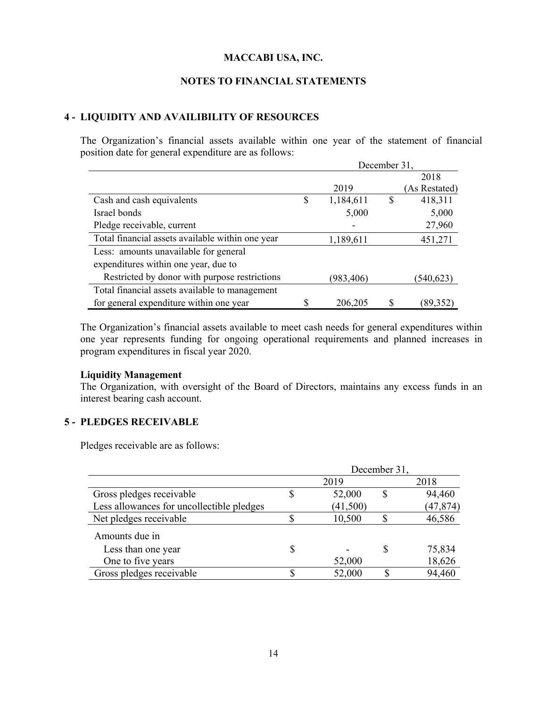# **NOTES TO FINANCIAL STATEMENTS**

# **4 - LIQUIDITY AND AVAILIBILITY OF RESOURCES**

The Organization's financial assets available within one year of the statement of financial position date for general expenditure are as follows:

|                                                  | December 31,    |   |               |  |  |  |  |
|--------------------------------------------------|-----------------|---|---------------|--|--|--|--|
|                                                  |                 |   | 2018          |  |  |  |  |
|                                                  | 2019            |   | (As Restated) |  |  |  |  |
| Cash and cash equivalents                        | \$<br>1,184,611 | S | 418,311       |  |  |  |  |
| Israel bonds                                     | 5,000           |   | 5,000         |  |  |  |  |
| Pledge receivable, current                       |                 |   | 27,960        |  |  |  |  |
| Total financial assets available within one year | 1,189,611       |   | 451,271       |  |  |  |  |
| Less: amounts unavailable for general            |                 |   |               |  |  |  |  |
| expenditures within one year, due to             |                 |   |               |  |  |  |  |
| Restricted by donor with purpose restrictions    | (983,406)       |   | (540, 623)    |  |  |  |  |
| Total financial assets available to management   |                 |   |               |  |  |  |  |
| for general expenditure within one year          | 206,205         |   | (89,352)      |  |  |  |  |

The Organization's financial assets available to meet cash needs for general expenditures within one year represents funding for ongoing operational requirements and planned increases in program expenditures in fiscal year 2020.

## **Liquidity Management**

The Organization, with oversight of the Board of Directors, maintains any excess funds in an interest bearing cash account.

## **5 - PLEDGES RECEIVABLE**

Pledges receivable are as follows:

|                                           |          | December 31, |           |
|-------------------------------------------|----------|--------------|-----------|
|                                           | 2019     |              | 2018      |
| Gross pledges receivable                  | 52,000   |              | 94,460    |
| Less allowances for uncollectible pledges | (41,500) |              | (47, 874) |
| Net pledges receivable                    | 10,500   |              | 46,586    |
| Amounts due in                            |          |              |           |
| Less than one year                        |          | S            | 75,834    |
| One to five years                         | 52,000   |              | 18,626    |
| Gross pledges receivable                  | 52,000   |              | 94,460    |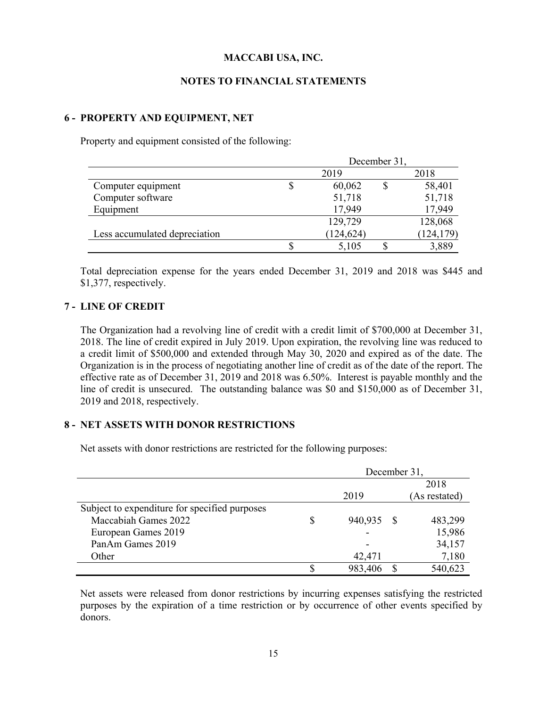## **NOTES TO FINANCIAL STATEMENTS**

# **6 - PROPERTY AND EQUIPMENT, NET**

Property and equipment consisted of the following:

|                               | December 31, |            |  |            |  |  |  |  |  |
|-------------------------------|--------------|------------|--|------------|--|--|--|--|--|
|                               |              | 2019       |  | 2018       |  |  |  |  |  |
| Computer equipment            |              | 60,062     |  | 58,401     |  |  |  |  |  |
| Computer software             |              | 51,718     |  | 51,718     |  |  |  |  |  |
| Equipment                     |              | 17,949     |  | 17,949     |  |  |  |  |  |
|                               |              | 129,729    |  | 128,068    |  |  |  |  |  |
| Less accumulated depreciation |              | (124, 624) |  | (124, 179) |  |  |  |  |  |
|                               |              | 5,105      |  | 3,889      |  |  |  |  |  |

Total depreciation expense for the years ended December 31, 2019 and 2018 was \$445 and \$1,377, respectively.

# **7 - LINE OF CREDIT**

The Organization had a revolving line of credit with a credit limit of \$700,000 at December 31, 2018. The line of credit expired in July 2019. Upon expiration, the revolving line was reduced to a credit limit of \$500,000 and extended through May 30, 2020 and expired as of the date. The Organization is in the process of negotiating another line of credit as of the date of the report. The effective rate as of December 31, 2019 and 2018 was 6.50%. Interest is payable monthly and the line of credit is unsecured. The outstanding balance was \$0 and \$150,000 as of December 31, 2019 and 2018, respectively.

## **8 - NET ASSETS WITH DONOR RESTRICTIONS**

Net assets with donor restrictions are restricted for the following purposes:

|                                               |   | December 31, |   |               |  |  |
|-----------------------------------------------|---|--------------|---|---------------|--|--|
|                                               |   |              |   | 2018          |  |  |
|                                               |   | 2019         |   | (As restated) |  |  |
| Subject to expenditure for specified purposes |   |              |   |               |  |  |
| Maccabiah Games 2022                          | S | 940,935      |   | 483,299       |  |  |
| European Games 2019                           |   |              |   | 15,986        |  |  |
| PanAm Games 2019                              |   |              |   | 34,157        |  |  |
| Other                                         |   | 42,471       |   | 7,180         |  |  |
|                                               |   | 983,406      | S | 540,623       |  |  |

Net assets were released from donor restrictions by incurring expenses satisfying the restricted purposes by the expiration of a time restriction or by occurrence of other events specified by donors.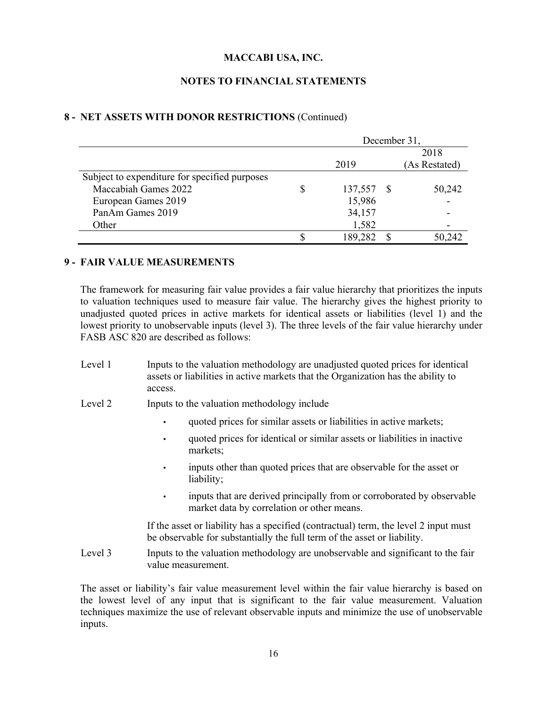# **NOTES TO FINANCIAL STATEMENTS**

|                                               | December 31, |  |               |  |  |  |
|-----------------------------------------------|--------------|--|---------------|--|--|--|
|                                               |              |  | 2018          |  |  |  |
|                                               | 2019         |  | (As Restated) |  |  |  |
| Subject to expenditure for specified purposes |              |  |               |  |  |  |
| Maccabiah Games 2022                          | 137,557      |  | 50,242        |  |  |  |
| European Games 2019                           | 15,986       |  |               |  |  |  |
| PanAm Games 2019                              | 34,157       |  |               |  |  |  |
| Other                                         | 1,582        |  |               |  |  |  |
|                                               | 189,282      |  | 50.242        |  |  |  |

# **8 - NET ASSETS WITH DONOR RESTRICTIONS** (Continued)

# **9 - FAIR VALUE MEASUREMENTS**

The framework for measuring fair value provides a fair value hierarchy that prioritizes the inputs to valuation techniques used to measure fair value. The hierarchy gives the highest priority to unadjusted quoted prices in active markets for identical assets or liabilities (level 1) and the lowest priority to unobservable inputs (level 3). The three levels of the fair value hierarchy under FASB ASC 820 are described as follows:

- Level 1 Inputs to the valuation methodology are unadjusted quoted prices for identical assets or liabilities in active markets that the Organization has the ability to access.
- Level 2 Inputs to the valuation methodology include
	- quoted prices for similar assets or liabilities in active markets;
	- quoted prices for identical or similar assets or liabilities in inactive markets;
	- inputs other than quoted prices that are observable for the asset or liability;
	- inputs that are derived principally from or corroborated by observable market data by correlation or other means.

If the asset or liability has a specified (contractual) term, the level 2 input must be observable for substantially the full term of the asset or liability.

Level 3 Inputs to the valuation methodology are unobservable and significant to the fair value measurement.

The asset or liability's fair value measurement level within the fair value hierarchy is based on the lowest level of any input that is significant to the fair value measurement. Valuation techniques maximize the use of relevant observable inputs and minimize the use of unobservable inputs.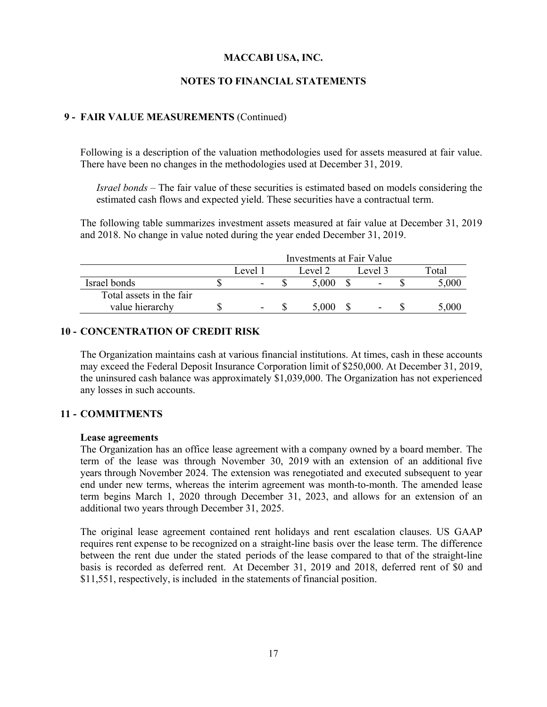# **NOTES TO FINANCIAL STATEMENTS**

# **9 - FAIR VALUE MEASUREMENTS** (Continued)

Following is a description of the valuation methodologies used for assets measured at fair value. There have been no changes in the methodologies used at December 31, 2019.

*Israel bonds* – The fair value of these securities is estimated based on models considering the estimated cash flows and expected yield. These securities have a contractual term.

The following table summarizes investment assets measured at fair value at December 31, 2019 and 2018. No change in value noted during the year ended December 31, 2019.

|                          | Investments at Fair Value |                          |  |         |  |         |  |                      |
|--------------------------|---------------------------|--------------------------|--|---------|--|---------|--|----------------------|
|                          |                           | Level 1                  |  | Level 2 |  | Level 3 |  | $\tau_{\text{otal}}$ |
| Israel bonds             |                           | $\overline{\phantom{0}}$ |  |         |  |         |  |                      |
| Total assets in the fair |                           |                          |  |         |  |         |  |                      |
| value hierarchy          |                           | $\overline{\phantom{a}}$ |  |         |  | $\,$    |  |                      |

# **10 - CONCENTRATION OF CREDIT RISK**

The Organization maintains cash at various financial institutions. At times, cash in these accounts may exceed the Federal Deposit Insurance Corporation limit of \$250,000. At December 31, 2019, the uninsured cash balance was approximately \$1,039,000. The Organization has not experienced any losses in such accounts.

# **11 - COMMITMENTS**

#### **Lease agreements**

The Organization has an office lease agreement with a company owned by a board member. The term of the lease was through November 30, 2019 with an extension of an additional five years through November 2024. The extension was renegotiated and executed subsequent to year end under new terms, whereas the interim agreement was month-to-month. The amended lease term begins March 1, 2020 through December 31, 2023, and allows for an extension of an additional two years through December 31, 2025.

The original lease agreement contained rent holidays and rent escalation clauses. US GAAP requires rent expense to be recognized on a straight-line basis over the lease term. The difference between the rent due under the stated periods of the lease compared to that of the straight-line basis is recorded as deferred rent. At December 31, 2019 and 2018, deferred rent of \$0 and \$11,551, respectively, is included in the statements of financial position.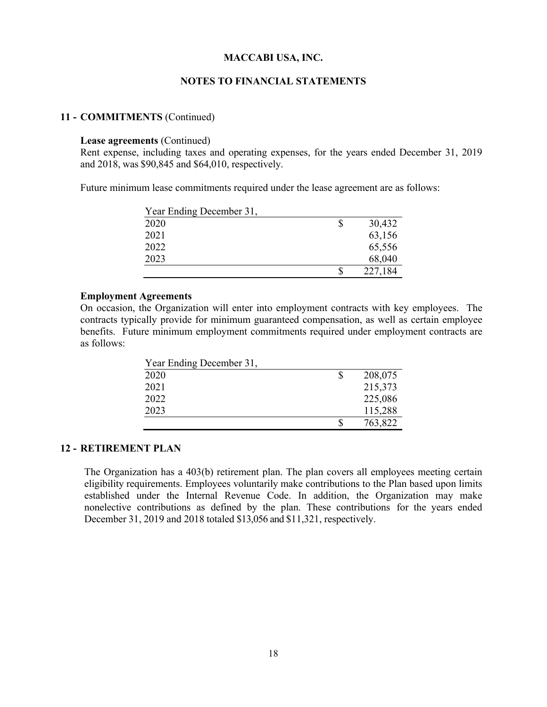# **NOTES TO FINANCIAL STATEMENTS**

## **11 - COMMITMENTS** (Continued)

#### **Lease agreements** (Continued)

Rent expense, including taxes and operating expenses, for the years ended December 31, 2019 and 2018, was \$90,845 and \$64,010, respectively.

Future minimum lease commitments required under the lease agreement are as follows:

| Year Ending December 31, |         |
|--------------------------|---------|
| 2020                     | 30,432  |
| 2021                     | 63,156  |
| 2022                     | 65,556  |
| 2023                     | 68,040  |
|                          | 227,184 |

#### **Employment Agreements**

On occasion, the Organization will enter into employment contracts with key employees. The contracts typically provide for minimum guaranteed compensation, as well as certain employee benefits. Future minimum employment commitments required under employment contracts are as follows:

| Year Ending December 31, |         |
|--------------------------|---------|
| 2020                     | 208,075 |
| 2021                     | 215,373 |
| 2022                     | 225,086 |
| 2023                     | 115,288 |
|                          | 763,822 |

# **12 - RETIREMENT PLAN**

The Organization has a 403(b) retirement plan. The plan covers all employees meeting certain eligibility requirements. Employees voluntarily make contributions to the Plan based upon limits established under the Internal Revenue Code. In addition, the Organization may make nonelective contributions as defined by the plan. These contributions for the years ended December 31, 2019 and 2018 totaled \$13,056 and \$11,321, respectively.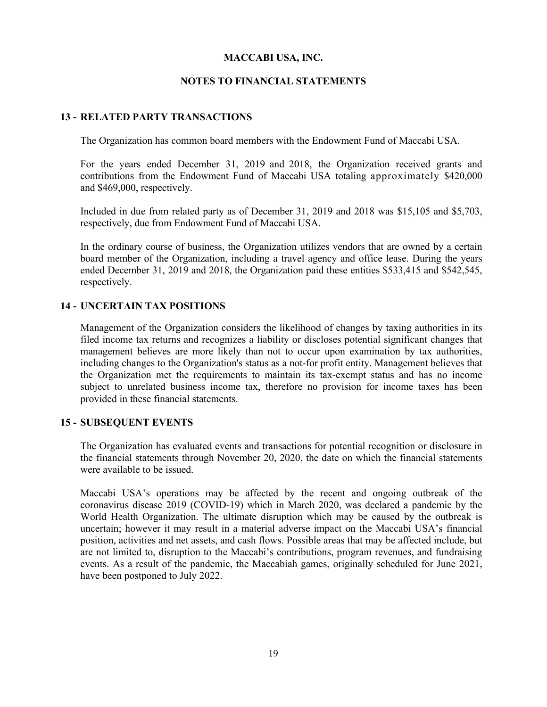# **NOTES TO FINANCIAL STATEMENTS**

# **13 - RELATED PARTY TRANSACTIONS**

The Organization has common board members with the Endowment Fund of Maccabi USA.

For the years ended December 31, 2019 and 2018, the Organization received grants and contributions from the Endowment Fund of Maccabi USA totaling approximately \$420,000 and \$469,000, respectively.

Included in due from related party as of December 31, 2019 and 2018 was \$15,105 and \$5,703, respectively, due from Endowment Fund of Maccabi USA.

In the ordinary course of business, the Organization utilizes vendors that are owned by a certain board member of the Organization, including a travel agency and office lease. During the years ended December 31, 2019 and 2018, the Organization paid these entities \$533,415 and \$542,545, respectively.

# **14 - UNCERTAIN TAX POSITIONS**

Management of the Organization considers the likelihood of changes by taxing authorities in its filed income tax returns and recognizes a liability or discloses potential significant changes that management believes are more likely than not to occur upon examination by tax authorities, including changes to the Organization's status as a not-for profit entity. Management believes that the Organization met the requirements to maintain its tax-exempt status and has no income subject to unrelated business income tax, therefore no provision for income taxes has been provided in these financial statements.

## **15 - SUBSEQUENT EVENTS**

The Organization has evaluated events and transactions for potential recognition or disclosure in the financial statements through November 20, 2020, the date on which the financial statements were available to be issued.

Maccabi USA's operations may be affected by the recent and ongoing outbreak of the coronavirus disease 2019 (COVID-19) which in March 2020, was declared a pandemic by the World Health Organization. The ultimate disruption which may be caused by the outbreak is uncertain; however it may result in a material adverse impact on the Maccabi USA's financial position, activities and net assets, and cash flows. Possible areas that may be affected include, but are not limited to, disruption to the Maccabi's contributions, program revenues, and fundraising events. As a result of the pandemic, the Maccabiah games, originally scheduled for June 2021, have been postponed to July 2022.